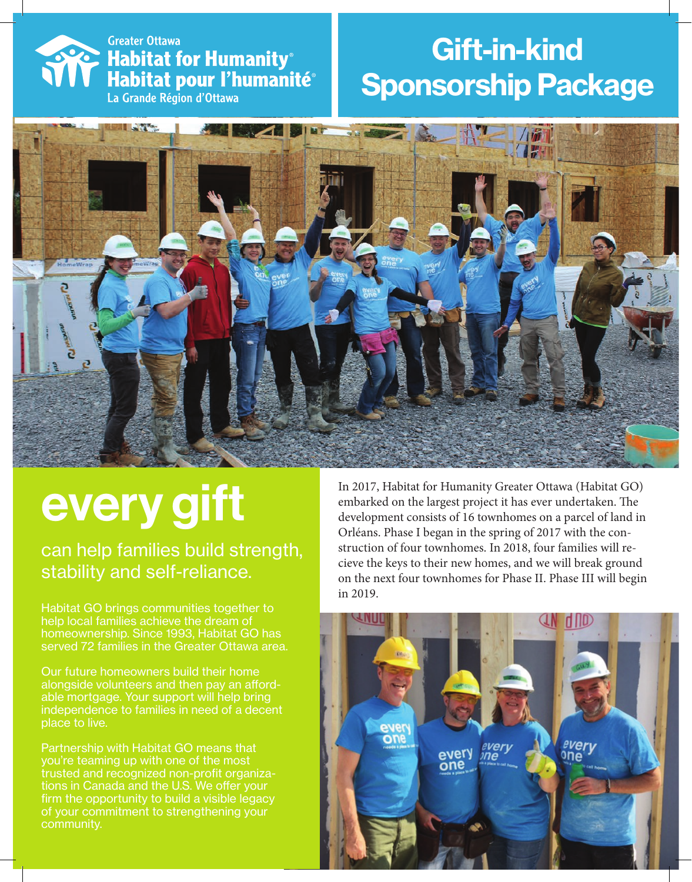### **Somewhat Channel Streater Ottawa<br>
Rabitat for Humanity<sup>®</sup><br>
Rabitat pour l'humani** Habitat pour l'humanité<sup>®</sup> La Grande Région d'Ottawa

### Gift-in-kind Sponsorship Package



# every gift

can help families build strength, stability and self-reliance.

Habitat GO brings communities together to help local families achieve the dream of homeownership. Since 1993, Habitat GO has served 72 families in the Greater Ottawa area.

Our future homeowners build their home alongside volunteers and then pay an affordable mortgage. Your support will help bring independence to families in need of a decent place to live.

Partnership with Habitat GO means that you're teaming up with one of the most trusted and recognized non-profit organizations in Canada and the U.S. We offer your firm the opportunity to build a visible legacy of your commitment to strengthening your community.

In 2017, Habitat for Humanity Greater Ottawa (Habitat GO) embarked on the largest project it has ever undertaken. The development consists of 16 townhomes on a parcel of land in Orléans. Phase I began in the spring of 2017 with the construction of four townhomes. In 2018, four families will recieve the keys to their new homes, and we will break ground on the next four townhomes for Phase II. Phase III will begin in 2019.

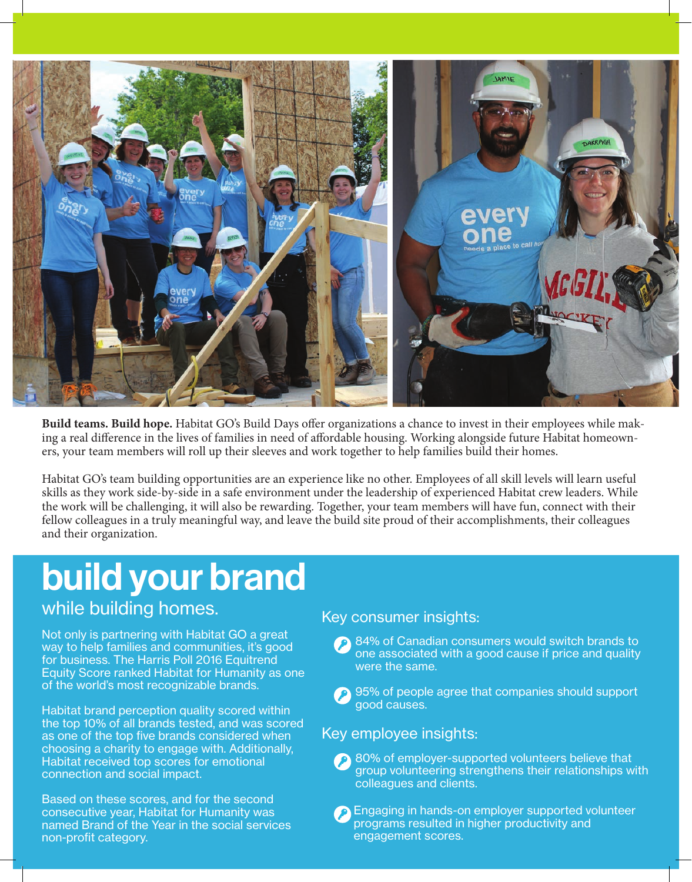

**Build teams. Build hope.** Habitat GO's Build Days offer organizations a chance to invest in their employees while making a real difference in the lives of families in need of affordable housing. Working alongside future Habitat homeowners, your team members will roll up their sleeves and work together to help families build their homes.

Habitat GO's team building opportunities are an experience like no other. Employees of all skill levels will learn useful skills as they work side-by-side in a safe environment under the leadership of experienced Habitat crew leaders. While the work will be challenging, it will also be rewarding. Together, your team members will have fun, connect with their fellow colleagues in a truly meaningful way, and leave the build site proud of their accomplishments, their colleagues and their organization.

## build your brand

### while building homes.

Not only is partnering with Habitat GO a great way to help families and communities, it's good for business. The Harris Poll 2016 Equitrend Equity Score ranked Habitat for Humanity as one of the world's most recognizable brands.

Habitat brand perception quality scored within the top 10% of all brands tested, and was scored as one of the top five brands considered when choosing a charity to engage with. Additionally, Habitat received top scores for emotional connection and social impact.

Based on these scores, and for the second consecutive year, Habitat for Humanity was named Brand of the Year in the social services non-profit category.

#### Key consumer insights:

- 84% of Canadian consumers would switch brands to one associated with a good cause if price and quality were the same.
- **95% of people agree that companies should support** good causes.

#### Key employee insights:

- 80% of employer-supported volunteers believe that group volunteering strengthens their relationships with colleagues and clients.
- Engaging in hands-on employer supported volunteer programs resulted in higher productivity and engagement scores.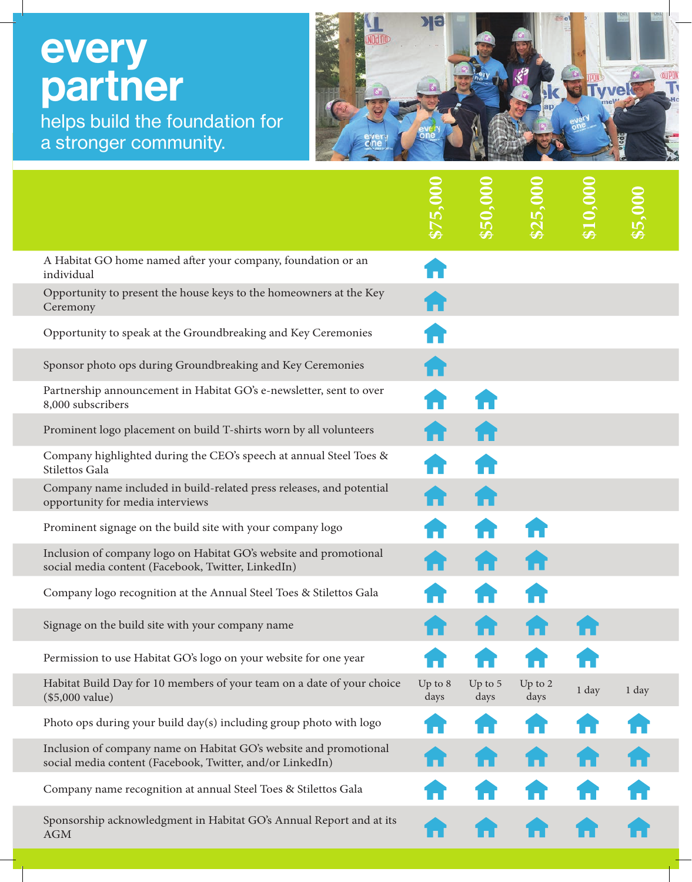# **every** partner

I.

helps build the foundation for a stronger community.



| A Habitat GO home named after your company, foundation or an<br>individual                                                     |                   |                 |                   |       |       |
|--------------------------------------------------------------------------------------------------------------------------------|-------------------|-----------------|-------------------|-------|-------|
| Opportunity to present the house keys to the homeowners at the Key<br>Ceremony                                                 |                   |                 |                   |       |       |
| Opportunity to speak at the Groundbreaking and Key Ceremonies                                                                  |                   |                 |                   |       |       |
| Sponsor photo ops during Groundbreaking and Key Ceremonies                                                                     |                   |                 |                   |       |       |
| Partnership announcement in Habitat GO's e-newsletter, sent to over<br>8,000 subscribers                                       |                   |                 |                   |       |       |
| Prominent logo placement on build T-shirts worn by all volunteers                                                              |                   |                 |                   |       |       |
| Company highlighted during the CEO's speech at annual Steel Toes &<br>Stilettos Gala                                           |                   |                 |                   |       |       |
| Company name included in build-related press releases, and potential<br>opportunity for media interviews                       |                   |                 |                   |       |       |
| Prominent signage on the build site with your company logo                                                                     |                   |                 |                   |       |       |
| Inclusion of company logo on Habitat GO's website and promotional<br>social media content (Facebook, Twitter, LinkedIn)        |                   |                 |                   |       |       |
| Company logo recognition at the Annual Steel Toes & Stilettos Gala                                                             |                   |                 |                   |       |       |
| Signage on the build site with your company name                                                                               |                   |                 |                   |       |       |
| Permission to use Habitat GO's logo on your website for one year                                                               |                   |                 |                   |       |       |
| Habitat Build Day for 10 members of your team on a date of your choice<br>(\$5,000 value)                                      | Up to $8$<br>days | Up to 5<br>days | Up to $2$<br>days | 1 day | 1 day |
| Photo ops during your build day(s) including group photo with logo                                                             |                   |                 |                   |       |       |
| Inclusion of company name on Habitat GO's website and promotional<br>social media content (Facebook, Twitter, and/or LinkedIn) |                   |                 |                   |       |       |
| Company name recognition at annual Steel Toes & Stilettos Gala                                                                 |                   |                 |                   |       |       |
| Sponsorship acknowledgment in Habitat GO's Annual Report and at its<br><b>AGM</b>                                              |                   |                 |                   |       |       |